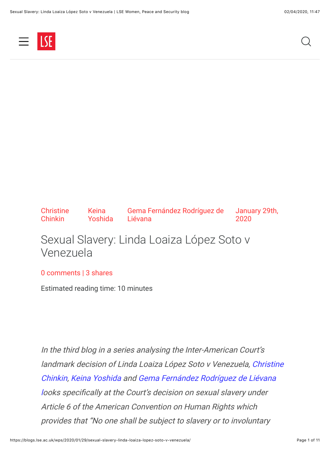

**Christine** Chinkin Keina Yoshida Gema Fernández Rodríguez de Liévana January 29th, 2020

# Sexual Slavery: Linda Loaiza López Soto v Venezuela

#### [0 comments](#page-8-0) | 3 shares

Estimated reading time: 10 minutes

In the third blog in a series analysing the Inter-American Court's [landmark decision of Linda Loaiza López Soto v Venezuela, Christine](http://www.lse.ac.uk/women-peace-security/people/christine-chinkin) [Chinkin,](http://www.lse.ac.uk/women-peace-security/people/gema-fern%C3%A1ndez) [Keina Yoshid](http://www.lse.ac.uk/women-peace-security/people/keina-yoshida)[a and Gema Fernández Rodríguez de Liévana](http://www.lse.ac.uk/women-peace-security/people/gema-fern%C3%A1ndez) looks specifically at the Court's decision on sexual slavery under Article 6 of the American Convention on Human Rights which provides that "No one shall be subject to slavery or to involuntary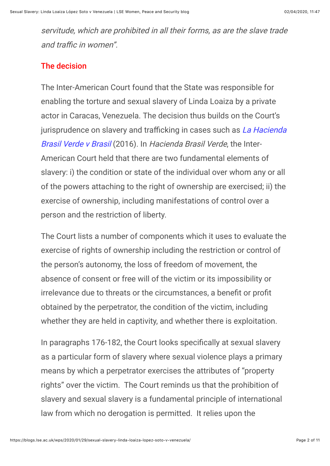servitude, which are prohibited in all their forms, as are the slave trade and traffic in women".

#### The decision

The Inter-American Court found that the State was responsible for enabling the torture and sexual slavery of Linda Loaiza by a private actor in Caracas, Venezuela. The decision thus builds on the Court's jurisprudence on slavery and trafficking in cases such as La Hacienda Brasil Verde v Brasil (2016). In Hacienda Brasil Verde, the Inter-American Court held that there are two fundamental elements of slavery: i) the condition or state of the individual over whom any or all of the powers attaching to the right of ownership are exercised; ii) the exercise of ownership, including manifestations of control over a person and the restriction of liberty.

The Court lists a number of components which it uses to evaluate the exercise of rights of ownership including the restriction or control of the person's autonomy, the loss of freedom of movement, the absence of consent or free will of the victim or its impossibility or irrelevance due to threats or the circumstances, a benefit or profit obtained by the perpetrator, the condition of the victim, including whether they are held in captivity, and whether there is exploitation.

In paragraphs 176-182, the Court looks specifically at sexual slavery as a particular form of slavery where sexual violence plays a primary means by which a perpetrator exercises the attributes of "property rights" over the victim. The Court reminds us that the prohibition of slavery and sexual slavery is a fundamental principle of international law from which no derogation is permitted. It relies upon the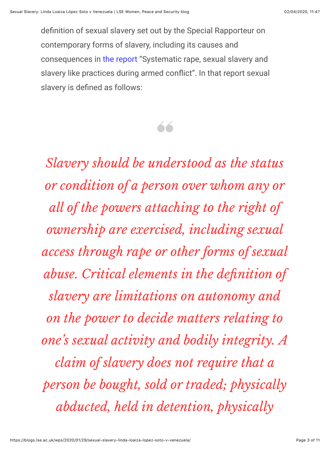definition of sexual slavery set out by the Special Rapporteur on contemporary forms of slavery, including its causes and consequences in [the report](https://www.refworld.org/docid/3b00f56310.html) "Systematic rape, sexual slavery and slavery like practices during armed confict". In that report sexual slavery is defined as follows:



*Slavery should be understood as the status or condition of a person over whom any or all of the powers attaching to the right of ownership are exercised, including sexual access through rape or other forms of sexual* **abuse.** Critical elements in the definition of *slavery are limitations on autonomy and on the power to decide matters relating to one's sexual activity and bodily integrity. A claim of slavery does not require that a person be bought, sold or traded; physically abducted, held in detention, physically*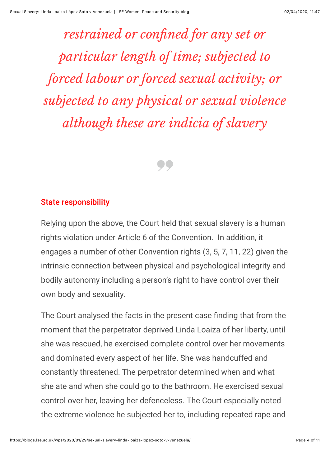*restrained or confined for any set or particular length of time; subjected to forced labour or forced sexual activity; or subjected to any physical or sexual violence although these are indicia of slavery*



#### State responsibility

Relying upon the above, the Court held that sexual slavery is a human rights violation under Article 6 of the Convention. In addition, it engages a number of other Convention rights (3, 5, 7, 11, 22) given the intrinsic connection between physical and psychological integrity and bodily autonomy including a person's right to have control over their own body and sexuality.

The Court analysed the facts in the present case finding that from the moment that the perpetrator deprived Linda Loaiza of her liberty, until she was rescued, he exercised complete control over her movements and dominated every aspect of her life. She was handcuffed and constantly threatened. The perpetrator determined when and what she ate and when she could go to the bathroom. He exercised sexual control over her, leaving her defenceless. The Court especially noted the extreme violence he subjected her to, including repeated rape and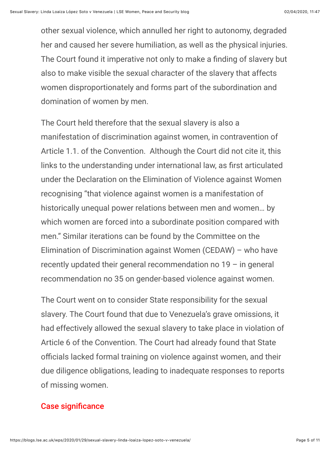other sexual violence, which annulled her right to autonomy, degraded her and caused her severe humiliation, as well as the physical injuries. The Court found it imperative not only to make a finding of slavery but also to make visible the sexual character of the slavery that affects women disproportionately and forms part of the subordination and domination of women by men.

The Court held therefore that the sexual slavery is also a manifestation of discrimination against women, in contravention of Article 1.1. of the Convention. Although the Court did not cite it, this links to the understanding under international law, as first articulated under the Declaration on the Elimination of Violence against Women recognising "that violence against women is a manifestation of historically unequal power relations between men and women… by which women are forced into a subordinate position compared with men." Similar iterations can be found by the Committee on the Elimination of Discrimination against Women (CEDAW) – who have recently updated their general recommendation no  $19 - in$  general recommendation no 35 on gender-based violence against women.

The Court went on to consider State responsibility for the sexual slavery. The Court found that due to Venezuela's grave omissions, it had effectively allowed the sexual slavery to take place in violation of Article 6 of the Convention. The Court had already found that State officials lacked formal training on violence against women, and their due diligence obligations, leading to inadequate responses to reports of missing women.

#### **Case significance**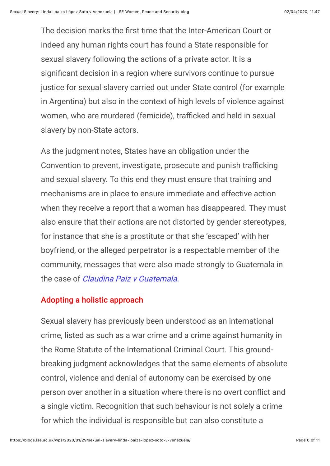The decision marks the first time that the Inter-American Court or indeed any human rights court has found a State responsible for sexual slavery following the actions of a private actor. It is a significant decision in a region where survivors continue to pursue justice for sexual slavery carried out under State control (for example in Argentina) but also in the context of high levels of violence against women, who are murdered (femicide), trafficked and held in sexual slavery by non-State actors.

As the judgment notes, States have an obligation under the Convention to prevent, investigate, prosecute and punish trafficking and sexual slavery. To this end they must ensure that training and mechanisms are in place to ensure immediate and effective action when they receive a report that a woman has disappeared. They must also ensure that their actions are not distorted by gender stereotypes, for instance that she is a prostitute or that she 'escaped' with her boyfriend, or the alleged perpetrator is a respectable member of the community, messages that were also made strongly to Guatemala in the case of *Claudina Paiz v Guatemala* 

#### Adopting a holistic approach

Sexual slavery has previously been understood as an international crime, listed as such as a war crime and a crime against humanity in the Rome Statute of the International Criminal Court. This groundbreaking judgment acknowledges that the same elements of absolute control, violence and denial of autonomy can be exercised by one person over another in a situation where there is no overt confict and a single victim. Recognition that such behaviour is not solely a crime for which the individual is responsible but can also constitute a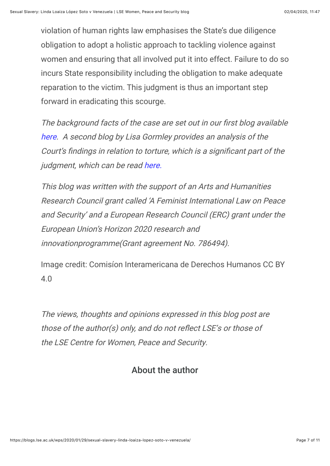violation of human rights law emphasises the State's due diligence obligation to adopt a holistic approach to tackling violence against women and ensuring that all involved put it into effect. Failure to do so incurs State responsibility including the obligation to make adequate reparation to the victim. This judgment is thus an important step forward in eradicating this scourge.

The background facts of the case are set out in our first blog available [here](https://blogs.lse.ac.uk/wps/2018/12/06/inter-american-court-reaches-landmark-decision-on-torture-and-sexual-slavery/). A second blog by Lisa Gormley provides an analysis of the Court's findings in relation to torture, which is a significant part of the judgment, which can be read [here.](https://blogs.lse.ac.uk/wps/2019/12/05/gender-based-violence-as-torture-the-case-of-linda-loaiza-lopez-soto/)

This blog was written with the support of an Arts and Humanities Research Council grant called 'A Feminist International Law on Peace and Security' and a European Research Council (ERC) grant under the European Union's Horizon 2020 research and innovationprogramme(Grant agreement No. 786494).

Image credit: Comisíon Interamericana de Derechos Humanos CC BY 4.0

The views, thoughts and opinions expressed in this blog post are those of the author(s) only, and do not refect LSE's or those of the LSE Centre for Women, Peace and Security.

### About the author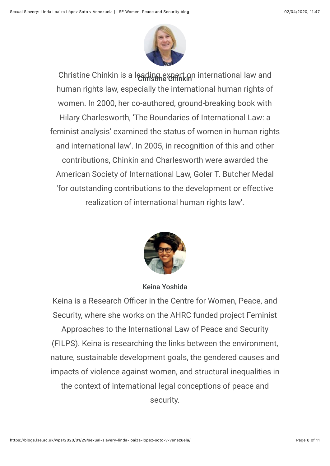

Christine Chinkin is a leading expert on international law and human rights law, especially the international human rights of women. In 2000, her co-authored, ground-breaking book with Hilary Charlesworth, 'The Boundaries of International Law: a feminist analysis' examined the status of women in human rights and international law'. In 2005, in recognition of this and other contributions, Chinkin and Charlesworth were awarded the American Society of International Law, Goler T. Butcher Medal 'for outstanding contributions to the development or effective realization of international human rights law'.



Keina Yoshida

Keina is a Research Officer in the Centre for Women, Peace, and Security, where she works on the AHRC funded project Feminist Approaches to the International Law of Peace and Security (FILPS). Keina is researching the links between the environment,

nature, sustainable development goals, the gendered causes and

impacts of violence against women, and structural inequalities in

the context of international legal conceptions of peace and security.